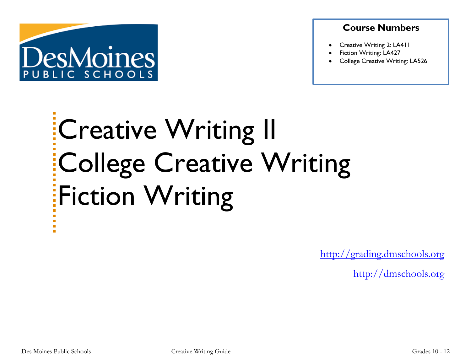

### **Course Numbers**

- Creative Writing 2: LA411
- Fiction Writing: LA427
- College Creative Writing: LA526

# Creative Writing II College Creative Writing **Fiction Writing**

[http://grading.dmschools.org](http://grading.dmschools.org/)

[http://dmschools.org](http://dmschools.org/)

m.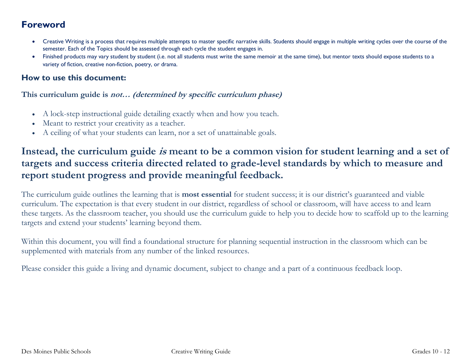## **Foreword**

- Creative Writing is a process that requires multiple attempts to master specific narrative skills. Students should engage in multiple writing cycles over the course of the semester. Each of the Topics should be assessed through each cycle the student engages in.
- Finished products may vary student by student (i.e. not all students must write the same memoir at the same time), but mentor texts should expose students to a variety of fiction, creative non-fiction, poetry, or drama.

#### **How to use this document:**

#### **This curriculum guide is not… (determined by specific curriculum phase)**

- A lock-step instructional guide detailing exactly when and how you teach.
- Meant to restrict your creativity as a teacher.
- A ceiling of what your students can learn, nor a set of unattainable goals.

## **Instead, the curriculum guide is meant to be a common vision for student learning and a set of targets and success criteria directed related to grade-level standards by which to measure and report student progress and provide meaningful feedback.**

The curriculum guide outlines the learning that is **most essential** for student success; it is our district's guaranteed and viable curriculum. The expectation is that every student in our district, regardless of school or classroom, will have access to and learn these targets. As the classroom teacher, you should use the curriculum guide to help you to decide how to scaffold up to the learning targets and extend your students' learning beyond them.

Within this document, you will find a foundational structure for planning sequential instruction in the classroom which can be supplemented with materials from any number of the linked resources.

Please consider this guide a living and dynamic document, subject to change and a part of a continuous feedback loop.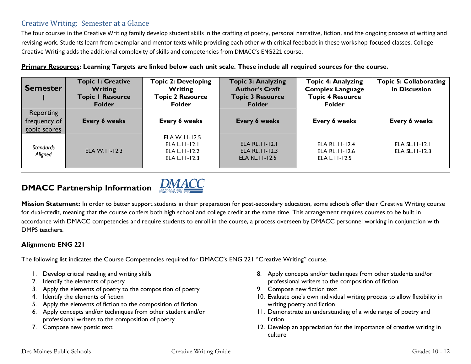#### Creative Writing: Semester at a Glance

The four courses in the Creative Writing family develop student skills in the crafting of poetry, personal narrative, fiction, and the ongoing process of writing and revising work. Students learn from exemplar and mentor texts while providing each other with critical feedback in these workshop-focused classes. College Creative Writing adds the additional complexity of skills and competencies from DMACC's ENG221 course.

|  |  |  | Primary Resources: Learning Targets are linked below each unit scale. These include all required sources for the course. |  |
|--|--|--|--------------------------------------------------------------------------------------------------------------------------|--|
|  |  |  |                                                                                                                          |  |
|  |  |  |                                                                                                                          |  |
|  |  |  |                                                                                                                          |  |

| <b>Semester</b>                           | <b>Topic I: Creative</b><br><b>Writing</b><br><b>Topic I Resource</b><br><b>Folder</b> | <b>Topic 2: Developing</b><br><b>Writing</b><br><b>Topic 2 Resource</b><br><b>Folder</b> | <b>Topic 3: Analyzing</b><br><b>Author's Craft</b><br><b>Topic 3 Resource</b><br>Folder | <b>Topic 4: Analyzing</b><br><b>Complex Language</b><br><b>Topic 4 Resource</b><br><b>Folder</b> | <b>Topic 5: Collaborating</b><br>in Discussion |
|-------------------------------------------|----------------------------------------------------------------------------------------|------------------------------------------------------------------------------------------|-----------------------------------------------------------------------------------------|--------------------------------------------------------------------------------------------------|------------------------------------------------|
| Reporting<br>frequency of<br>topic scores | Every 6 weeks                                                                          | Every 6 weeks                                                                            | Every 6 weeks                                                                           | Every 6 weeks                                                                                    | Every 6 weeks                                  |
| <b>Standards</b><br>Aligned               | ELA W.II-12.3                                                                          | ELA W.II-12.5<br>ELA L. I I - I 2. I<br>ELA L. II-12.2<br>ELA L. II-12.3                 | $ELA RL.11-12.1$<br><b>ELA RL. II-12.3</b><br><b>ELA RL. I I-12.5</b>                   | ELA RL. II-12.4<br>ELA RL. II-12.6<br>ELA L.11-12.5                                              | ELA SL. II-12.1<br>ELA SL. II-12.3             |

## **DMACC Partnership Information**



Mission Statement: In order to better support students in their preparation for post-secondary education, some schools offer their Creative Writing course for dual-credit, meaning that the course confers both high school and college credit at the same time. This arrangement requires courses to be built in accordance with DMACC competencies and require students to enroll in the course, a process overseen by DMACC personnel working in conjunction with DMPS teachers.

#### **Alignment: ENG 221**

The following list indicates the Course Competencies required for DMACC's ENG 221 "Creative Writing" course.

- 1. Develop critical reading and writing skills
- 2. Identify the elements of poetry
- 3. Apply the elements of poetry to the composition of poetry
- 4. Identify the elements of fiction
- 5. Apply the elements of fiction to the composition of fiction
- 6. Apply concepts and/or techniques from other student and/or professional writers to the composition of poetry
- 7. Compose new poetic text
- 8. Apply concepts and/or techniques from other students and/or professional writers to the composition of fiction
- 9. Compose new fiction text
- 10. Evaluate one's own individual writing process to allow flexibility in writing poetry and fiction
- 11. Demonstrate an understanding of a wide range of poetry and fiction
- 12. Develop an appreciation for the importance of creative writing in culture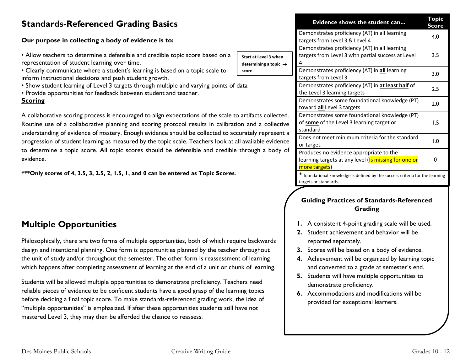## **Standards-Referenced Grading Basics**

#### **Our purpose in collecting a body of evidence is to:**

- Allow teachers to determine a defensible and credible top representation of student learning over time.
- Clearly communicate where a student's learning is based inform instructional decisions and push student growth.
- Show student learning of Level 3 targets through multiple
- Provide opportunities for feedback between student and

#### **Scoring**

A collaborative scoring process is encouraged to align expe Routine use of a collaborative planning and scoring proto understanding of evidence of mastery. Enough evidence should progression of student learning as measured by the topic so to determine a topic score. All topic scores should be d evidence.

#### **\*\*\*Only scores of 4, 3.5, 3, 2.5, 2, 1.5, 1, and 0 can be entered as Topic Scores**.

## **Multiple Opportunities**

Philosophically, there are two forms of multiple opportunities, both of which require backwards design and intentional planning. One form is opportunities planned by the teacher throughout the unit of study and/or throughout the semester. The other form is reassessment of learning which happens after completing assessment of learning at the end of a unit or chunk of learning.

Students will be allowed multiple opportunities to demonstrate proficiency. Teachers need reliable pieces of evidence to be confident students have a good grasp of the learning topics before deciding a final topic score. To make standards-referenced grading work, the idea of "multiple opportunities" is emphasized. If after these opportunities students still have not mastered Level 3, they may then be afforded the chance to reassess.

|                                                                                                |                                                            | Evidence shows the student can                                                                         | Topic<br>Score |
|------------------------------------------------------------------------------------------------|------------------------------------------------------------|--------------------------------------------------------------------------------------------------------|----------------|
|                                                                                                |                                                            | Demonstrates proficiency (AT) in all learning<br>targets from Level 3 & Level 4                        | 4.0            |
| pic score based on a                                                                           | Start at Level 3 when<br>determining a topic $\rightarrow$ | Demonstrates proficiency (AT) in all learning<br>targets from Level 3 with partial success at Level    | 3.5            |
| on a topic scale to                                                                            | score.                                                     | Demonstrates proficiency (AT) in all learning<br>targets from Level 3                                  | 3.0            |
| and varying points of data<br>teacher.                                                         |                                                            | Demonstrates proficiency (AT) in at least half of<br>the Level 3 learning targets                      | 2.5            |
|                                                                                                |                                                            | Demonstrates some foundational knowledge (PT)<br>toward all Level 3 targets                            | 2.0            |
| ectations of the scale to artifacts collected.<br>ocol results in calibration and a collective |                                                            | Demonstrates some foundational knowledge (PT)<br>of some of the Level 3 learning target or<br>standard | 1.5            |
| ould be collected to accurately represent a<br>cale. Teachers look at all available evidence   |                                                            | Does not meet minimum criteria for the standard<br>or target.                                          | 1.0            |
| lefensible and credible through a body of                                                      |                                                            | Produces no evidence appropriate to the<br>learning targets at any level (Is missing for one or        | 0              |

more targets)

\* foundational knowledge is defined by the success criteria for the learning targets or standards.

#### **Guiding Practices of Standards-Referenced Grading**

- **1.** A consistent 4-point grading scale will be used.
- **2.** Student achievement and behavior will be reported separately.
- **3.** Scores will be based on a body of evidence.
- **4.** Achievement will be organized by learning topic and converted to a grade at semester's end.
- **5.** Students will have multiple opportunities to demonstrate proficiency.
- **6.** Accommodations and modifications will be provided for exceptional learners.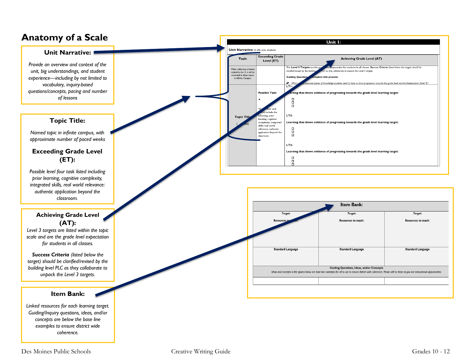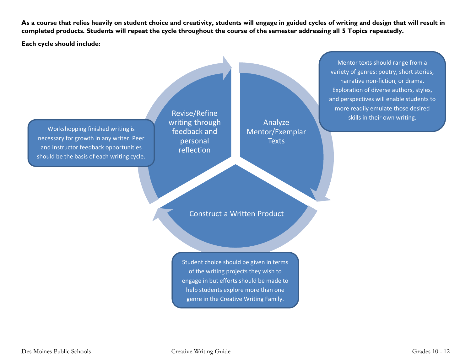**As a course that relies heavily on student choice and creativity, students will engage in guided cycles of writing and design that will result in completed products. Students will repeat the cycle throughout the course of the semester addressing all 5 Topics repeatedly.** 

**Each cycle should include:**

Workshopping finished writing is necessary for growth in any writer. Peer and Instructor feedback opportunities should be the basis of each writing cycle.

Revise/Refine writing through feedback and personal reflection

Analyze Mentor/Exemplar **Texts** 

Construct a Written Product

Student choice should be given in terms of the writing projects they wish to engage in but efforts should be made to help students explore more than one genre in the Creative Writing Family.

Mentor texts should range from a variety of genres: poetry, short stories, narrative non-fiction, or drama. Exploration of diverse authors, styles, and perspectives will enable students to more readily emulate those desired skills in their own writing.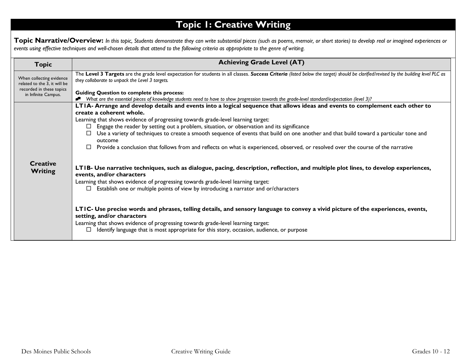# **Topic 1: Creative Writing**

**Topic Narrative/Overview:** *In this topic, Students demonstrate they can write substantial pieces (such as poems, memoir, or short stories) to develop real or imagined experiences or events using effective techniques and well-chosen details that attend to the following criteria as appropriate to the genre of writing.*

| <b>Topic</b>                                             | <b>Achieving Grade Level (AT)</b>                                                                                                                                                                                                                                                                                                                      |
|----------------------------------------------------------|--------------------------------------------------------------------------------------------------------------------------------------------------------------------------------------------------------------------------------------------------------------------------------------------------------------------------------------------------------|
| When collecting evidence<br>related to the 3, it will be | The Level 3 Targets are the grade level expectation for students in all classes. Success Criteria (listed below the target) should be clarified/revised by the building level PLC as<br>they collaborate to unpack the Level 3 targets.                                                                                                                |
| recorded in these topics<br>in Infinite Campus.          | <b>Guiding Question to complete this process:</b><br>What are the essential pieces of knowledge students need to have to show progression towards the grade-level standard/expectation (level 3)?                                                                                                                                                      |
|                                                          | LTIA- Arrange and develop details and events into a logical sequence that allows ideas and events to complement each other to<br>create a coherent whole.<br>Learning that shows evidence of progressing towards grade-level learning target:                                                                                                          |
|                                                          | Engage the reader by setting out a problem, situation, or observation and its significance<br>$\Box$                                                                                                                                                                                                                                                   |
|                                                          | Use a variety of techniques to create a smooth sequence of events that build on one another and that build toward a particular tone and<br>outcome                                                                                                                                                                                                     |
|                                                          | Provide a conclusion that follows from and reflects on what is experienced, observed, or resolved over the course of the narrative<br>$\Box$                                                                                                                                                                                                           |
| <b>Creative</b><br><b>Writing</b>                        | LTIB- Use narrative techniques, such as dialogue, pacing, description, reflection, and multiple plot lines, to develop experiences,<br>events, and/or characters<br>Learning that shows evidence of progressing towards grade-level learning target:<br>Establish one or multiple points of view by introducing a narrator and or/characters<br>$\Box$ |
|                                                          | LTIC- Use precise words and phrases, telling details, and sensory language to convey a vivid picture of the experiences, events,<br>setting, and/or characters<br>Learning that shows evidence of progressing towards grade-level learning target:<br>Identify language that is most appropriate for this story, occasion, audience, or purpose        |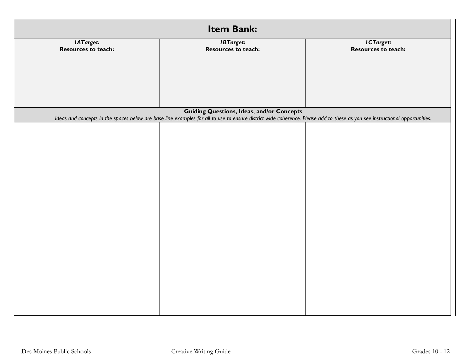| Item Bank:          |                                                                                                                                                                             |                     |  |
|---------------------|-----------------------------------------------------------------------------------------------------------------------------------------------------------------------------|---------------------|--|
| IATarget:           | <b>IBTarget:</b>                                                                                                                                                            | ICTarget:           |  |
| Resources to teach: | Resources to teach:                                                                                                                                                         | Resources to teach: |  |
|                     |                                                                                                                                                                             |                     |  |
|                     |                                                                                                                                                                             |                     |  |
|                     |                                                                                                                                                                             |                     |  |
|                     |                                                                                                                                                                             |                     |  |
|                     |                                                                                                                                                                             |                     |  |
|                     | <b>Guiding Questions, Ideas, and/or Concepts</b>                                                                                                                            |                     |  |
|                     | Ideas and concepts in the spaces below are base line examples for all to use to ensure district wide coherence. Please add to these as you see instructional opportunities. |                     |  |
|                     |                                                                                                                                                                             |                     |  |
|                     |                                                                                                                                                                             |                     |  |
|                     |                                                                                                                                                                             |                     |  |
|                     |                                                                                                                                                                             |                     |  |
|                     |                                                                                                                                                                             |                     |  |
|                     |                                                                                                                                                                             |                     |  |
|                     |                                                                                                                                                                             |                     |  |
|                     |                                                                                                                                                                             |                     |  |
|                     |                                                                                                                                                                             |                     |  |
|                     |                                                                                                                                                                             |                     |  |
|                     |                                                                                                                                                                             |                     |  |
|                     |                                                                                                                                                                             |                     |  |
|                     |                                                                                                                                                                             |                     |  |
|                     |                                                                                                                                                                             |                     |  |
|                     |                                                                                                                                                                             |                     |  |
|                     |                                                                                                                                                                             |                     |  |
|                     |                                                                                                                                                                             |                     |  |
|                     |                                                                                                                                                                             |                     |  |
|                     |                                                                                                                                                                             |                     |  |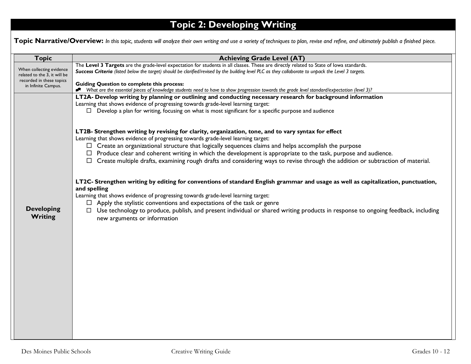# **Topic 2: Developing Writing**

Topic Narrative/Overview: In this topic, students will analyze their own writing and use a variety of techniques to plan, revise and refine, and ultimately publish a finished piece.

| <b>Topic</b>                 | <b>Achieving Grade Level (AT)</b>                                                                                                                   |
|------------------------------|-----------------------------------------------------------------------------------------------------------------------------------------------------|
| When collecting evidence     | The Level 3 Targets are the grade-level expectation for students in all classes. These are directly related to State of lowa standards.             |
| related to the 3, it will be | Success Criteria (listed below the target) should be clarified/revised by the building level PLC as they collaborate to unpack the Level 3 targets. |
| recorded in these topics     | <b>Guiding Question to complete this process:</b>                                                                                                   |
| in Infinite Campus.          | * What are the essential pieces of knowledge students need to have to show progression towards the grade level standard/expectation (level 3)?      |
|                              | LT2A- Develop writing by planning or outlining and conducting necessary research for background information                                         |
|                              | Learning that shows evidence of progressing towards grade-level learning target:                                                                    |
|                              | $\Box$ Develop a plan for writing, focusing on what is most significant for a specific purpose and audience                                         |
|                              |                                                                                                                                                     |
|                              | LT2B- Strengthen writing by revising for clarity, organization, tone, and to vary syntax for effect                                                 |
|                              | Learning that shows evidence of progressing towards grade-level learning target:                                                                    |
|                              | $\Box$ Create an organizational structure that logically sequences claims and helps accomplish the purpose                                          |
|                              | $\Box$ Produce clear and coherent writing in which the development is appropriate to the task, purpose and audience.                                |
|                              | $\Box$ Create multiple drafts, examining rough drafts and considering ways to revise through the addition or subtraction of material.               |
|                              |                                                                                                                                                     |
|                              |                                                                                                                                                     |
|                              | LT2C- Strengthen writing by editing for conventions of standard English grammar and usage as well as capitalization, punctuation,<br>and spelling   |
|                              | Learning that shows evidence of progressing towards grade-level learning target:                                                                    |
|                              | $\Box$ Apply the stylistic conventions and expectations of the task or genre                                                                        |
| <b>Developing</b>            | □ Use technology to produce, publish, and present individual or shared writing products in response to ongoing feedback, including                  |
| Writing                      | new arguments or information                                                                                                                        |
|                              |                                                                                                                                                     |
|                              |                                                                                                                                                     |
|                              |                                                                                                                                                     |
|                              |                                                                                                                                                     |
|                              |                                                                                                                                                     |
|                              |                                                                                                                                                     |
|                              |                                                                                                                                                     |
|                              |                                                                                                                                                     |
|                              |                                                                                                                                                     |
|                              |                                                                                                                                                     |
|                              |                                                                                                                                                     |
|                              |                                                                                                                                                     |
|                              |                                                                                                                                                     |
|                              |                                                                                                                                                     |
|                              |                                                                                                                                                     |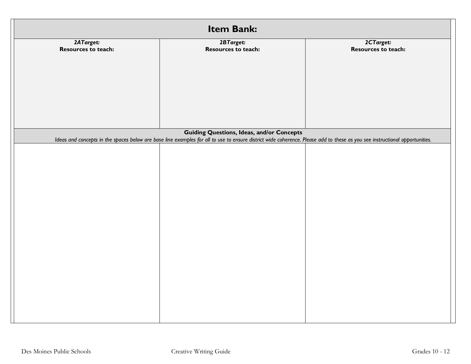| Item Bank:                              |                                                                                                                                                                             |                                  |  |
|-----------------------------------------|-----------------------------------------------------------------------------------------------------------------------------------------------------------------------------|----------------------------------|--|
| 2ATarget:<br><b>Resources to teach:</b> | 2BTarget:<br>Resources to teach:                                                                                                                                            | 2CTarget:<br>Resources to teach: |  |
|                                         |                                                                                                                                                                             |                                  |  |
|                                         |                                                                                                                                                                             |                                  |  |
|                                         |                                                                                                                                                                             |                                  |  |
|                                         |                                                                                                                                                                             |                                  |  |
|                                         |                                                                                                                                                                             |                                  |  |
|                                         |                                                                                                                                                                             |                                  |  |
|                                         | <b>Guiding Questions, Ideas, and/or Concepts</b>                                                                                                                            |                                  |  |
|                                         | Ideas and concepts in the spaces below are base line examples for all to use to ensure district wide coherence. Please add to these as you see instructional opportunities. |                                  |  |
|                                         |                                                                                                                                                                             |                                  |  |
|                                         |                                                                                                                                                                             |                                  |  |
|                                         |                                                                                                                                                                             |                                  |  |
|                                         |                                                                                                                                                                             |                                  |  |
|                                         |                                                                                                                                                                             |                                  |  |
|                                         |                                                                                                                                                                             |                                  |  |
|                                         |                                                                                                                                                                             |                                  |  |
|                                         |                                                                                                                                                                             |                                  |  |
|                                         |                                                                                                                                                                             |                                  |  |
|                                         |                                                                                                                                                                             |                                  |  |
|                                         |                                                                                                                                                                             |                                  |  |
|                                         |                                                                                                                                                                             |                                  |  |
|                                         |                                                                                                                                                                             |                                  |  |
|                                         |                                                                                                                                                                             |                                  |  |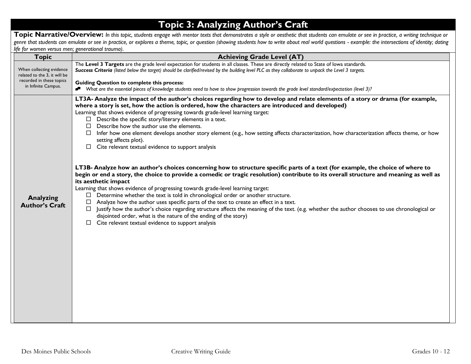## **Topic 3: Analyzing Author's Craft**

Topic Narrative/Overview: In this topic, students engage with mentor texts that demonstrates a style or aesthetic that students can emulate or see in practice, a writing technique or *genre that students can emulate or see in practice, or explores a theme, topic, or question (showing students how to write about real world questions - example: the intersections of identity; dating life for women versus men; generational trauma).* 

| <b>Topic</b>                                             | <b>Achieving Grade Level (AT)</b>                                                                                                                                                                                                                                                                                                                                                                                                                                                                                                                                                                                                                                                                                                                                                                                                                                    |
|----------------------------------------------------------|----------------------------------------------------------------------------------------------------------------------------------------------------------------------------------------------------------------------------------------------------------------------------------------------------------------------------------------------------------------------------------------------------------------------------------------------------------------------------------------------------------------------------------------------------------------------------------------------------------------------------------------------------------------------------------------------------------------------------------------------------------------------------------------------------------------------------------------------------------------------|
| When collecting evidence<br>related to the 3, it will be | The Level 3 Targets are the grade level expectation for students in all classes. These are directly related to State of lowa standards.<br>Success Criteria (listed below the target) should be clarified/revised by the building level PLC as they collaborate to unpack the Level 3 targets.                                                                                                                                                                                                                                                                                                                                                                                                                                                                                                                                                                       |
| recorded in these topics<br>in Infinite Campus.          | <b>Guiding Question to complete this process:</b><br>Nhat are the essential pieces of knowledge students need to have to show progression towards the grade level standard/expectation (level 3)?                                                                                                                                                                                                                                                                                                                                                                                                                                                                                                                                                                                                                                                                    |
|                                                          | LT3A- Analyze the impact of the author's choices regarding how to develop and relate elements of a story or drama (for example,<br>where a story is set, how the action is ordered, how the characters are introduced and developed)<br>Learning that shows evidence of progressing towards grade-level learning target:<br>$\Box$ Describe the specific story/literary elements in a text.<br>$\Box$ Describe how the author use the elements.<br>$\Box$ Infer how one element develops another story element (e.g., how setting affects characterization, how characterization affects theme, or how<br>setting affects plot).<br>$\Box$ Cite relevant textual evidence to support analysis                                                                                                                                                                        |
| Analyzing<br><b>Author's Craft</b>                       | LT3B- Analyze how an author's choices concerning how to structure specific parts of a text (for example, the choice of where to<br>begin or end a story, the choice to provide a comedic or tragic resolution) contribute to its overall structure and meaning as well as<br>its aesthetic impact<br>Learning that shows evidence of progressing towards grade-level learning target:<br>$\Box$ Determine whether the text is told in chronological order or another structure.<br>Analyze how the author uses specific parts of the text to create an effect in a text.<br>$\Box$<br>Justify how the author's choice regarding structure affects the meaning of the text. (e.g. whether the author chooses to use chronological or<br>disjointed order, what is the nature of the ending of the story)<br>$\Box$ Cite relevant textual evidence to support analysis |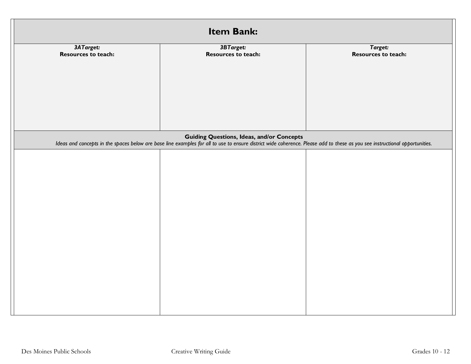| Item Bank:          |                                                                                                                                                                             |                     |  |  |
|---------------------|-----------------------------------------------------------------------------------------------------------------------------------------------------------------------------|---------------------|--|--|
| 3ATarget:           | 3BTarget:                                                                                                                                                                   | Target:             |  |  |
| Resources to teach: | Resources to teach:                                                                                                                                                         | Resources to teach: |  |  |
|                     |                                                                                                                                                                             |                     |  |  |
|                     |                                                                                                                                                                             |                     |  |  |
|                     |                                                                                                                                                                             |                     |  |  |
|                     |                                                                                                                                                                             |                     |  |  |
|                     |                                                                                                                                                                             |                     |  |  |
|                     | <b>Guiding Questions, Ideas, and/or Concepts</b>                                                                                                                            |                     |  |  |
|                     | Ideas and concepts in the spaces below are base line examples for all to use to ensure district wide coherence. Please add to these as you see instructional opportunities. |                     |  |  |
|                     |                                                                                                                                                                             |                     |  |  |
|                     |                                                                                                                                                                             |                     |  |  |
|                     |                                                                                                                                                                             |                     |  |  |
|                     |                                                                                                                                                                             |                     |  |  |
|                     |                                                                                                                                                                             |                     |  |  |
|                     |                                                                                                                                                                             |                     |  |  |
|                     |                                                                                                                                                                             |                     |  |  |
|                     |                                                                                                                                                                             |                     |  |  |
|                     |                                                                                                                                                                             |                     |  |  |
|                     |                                                                                                                                                                             |                     |  |  |
|                     |                                                                                                                                                                             |                     |  |  |
|                     |                                                                                                                                                                             |                     |  |  |
|                     |                                                                                                                                                                             |                     |  |  |
|                     |                                                                                                                                                                             |                     |  |  |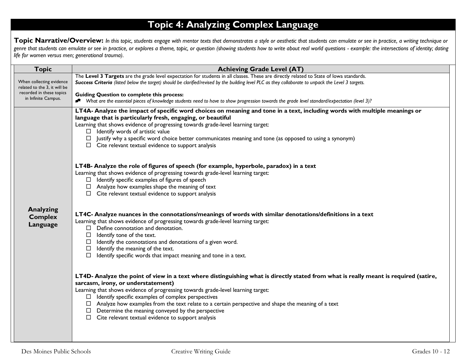# **Topic 4: Analyzing Complex Language**

Topic Narrative/Overview: In this topic, students engage with mentor texts that demonstrates a style or aesthetic that students can emulate or see in practice, a writing technique or *genre that students can emulate or see in practice, or explores a theme, topic, or question (showing students how to write about real world questions - example: the intersections of identity; dating life for women versus men; generational trauma).* 

| <b>Topic</b>                                                                                                | <b>Achieving Grade Level (AT)</b>                                                                                                                                                                                                                                                                                                                                                                                                                                                                                                                                  |
|-------------------------------------------------------------------------------------------------------------|--------------------------------------------------------------------------------------------------------------------------------------------------------------------------------------------------------------------------------------------------------------------------------------------------------------------------------------------------------------------------------------------------------------------------------------------------------------------------------------------------------------------------------------------------------------------|
| When collecting evidence<br>related to the 3, it will be<br>recorded in these topics<br>in Infinite Campus. | The Level 3 Targets are the grade level expectation for students in all classes. These are directly related to State of lowa standards.<br>Success Criteria (listed below the target) should be clarified/revised by the building level PLC as they collaborate to unpack the Level 3 targets.<br><b>Guiding Question to complete this process:</b><br>* What are the essential pieces of knowledge students need to have to show progression towards the grade level standard/expectation (level 3)?                                                              |
|                                                                                                             | LT4A- Analyze the impact of specific word choices on meaning and tone in a text, including words with multiple meanings or<br>language that is particularly fresh, engaging, or beautiful<br>Learning that shows evidence of progressing towards grade-level learning target:<br>$\Box$ Identify words of artistic value<br>Justify why a specific word choice better communicates meaning and tone (as opposed to using a synonym)<br>$\Box$ Cite relevant textual evidence to support analysis                                                                   |
|                                                                                                             | LT4B- Analyze the role of figures of speech (for example, hyperbole, paradox) in a text<br>Learning that shows evidence of progressing towards grade-level learning target:<br>$\Box$ Identify specific examples of figures of speech<br>$\Box$ Analyze how examples shape the meaning of text<br>$\Box$ Cite relevant textual evidence to support analysis                                                                                                                                                                                                        |
| <b>Analyzing</b><br><b>Complex</b><br>Language                                                              | LT4C- Analyze nuances in the connotations/meanings of words with similar denotations/definitions in a text<br>Learning that shows evidence of progressing towards grade-level learning target:<br>$\Box$ Define connotation and denotation.<br>Identify tone of the text.<br>$\Box$<br>$\Box$ Identify the connotations and denotations of a given word.<br>$\Box$ Identify the meaning of the text.<br>Identify specific words that impact meaning and tone in a text.<br>$\Box$                                                                                  |
|                                                                                                             | LT4D- Analyze the point of view in a text where distinguishing what is directly stated from what is really meant is required (satire,<br>sarcasm, irony, or understatement)<br>Learning that shows evidence of progressing towards grade-level learning target:<br>$\Box$ Identify specific examples of complex perspectives<br>$\Box$ Analyze how examples from the text relate to a certain perspective and shape the meaning of a text<br>$\Box$ Determine the meaning conveyed by the perspective<br>$\Box$ Cite relevant textual evidence to support analysis |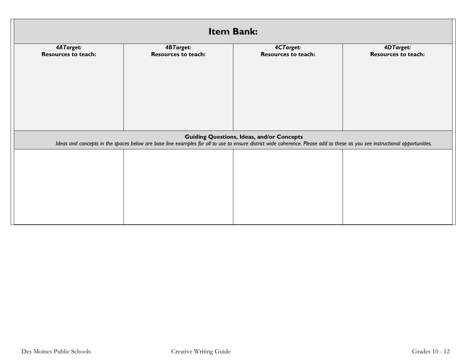| <b>Item Bank:</b>          |                                                                                                                                                                             |                                                  |                            |  |
|----------------------------|-----------------------------------------------------------------------------------------------------------------------------------------------------------------------------|--------------------------------------------------|----------------------------|--|
| 4ATarget:                  | 4CTarget:                                                                                                                                                                   | 4DTarget:                                        |                            |  |
| <b>Resources to teach:</b> | <b>Resources to teach:</b>                                                                                                                                                  | <b>Resources to teach:</b>                       | <b>Resources to teach:</b> |  |
|                            |                                                                                                                                                                             |                                                  |                            |  |
|                            |                                                                                                                                                                             |                                                  |                            |  |
|                            |                                                                                                                                                                             |                                                  |                            |  |
|                            |                                                                                                                                                                             |                                                  |                            |  |
|                            |                                                                                                                                                                             |                                                  |                            |  |
|                            |                                                                                                                                                                             |                                                  |                            |  |
|                            |                                                                                                                                                                             |                                                  |                            |  |
|                            | Ideas and concepts in the spaces below are base line examples for all to use to ensure district wide coherence. Please add to these as you see instructional opportunities. | <b>Guiding Questions, Ideas, and/or Concepts</b> |                            |  |
|                            |                                                                                                                                                                             |                                                  |                            |  |
|                            |                                                                                                                                                                             |                                                  |                            |  |
|                            |                                                                                                                                                                             |                                                  |                            |  |
|                            |                                                                                                                                                                             |                                                  |                            |  |
|                            |                                                                                                                                                                             |                                                  |                            |  |
|                            |                                                                                                                                                                             |                                                  |                            |  |
|                            |                                                                                                                                                                             |                                                  |                            |  |
|                            |                                                                                                                                                                             |                                                  |                            |  |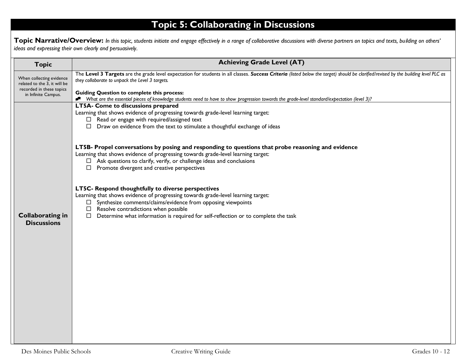# **Topic 5: Collaborating in Discussions**

**Topic Narrative/Overview:** *In this topic, students initiate and engage effectively in a range of collaborative discussions with diverse partners on topics and texts, building on others' ideas and expressing their own clearly and persuasively.*

| <b>Topic</b>                                                                         | <b>Achieving Grade Level (AT)</b>                                                                                                                                                                                                       |
|--------------------------------------------------------------------------------------|-----------------------------------------------------------------------------------------------------------------------------------------------------------------------------------------------------------------------------------------|
| When collecting evidence<br>related to the 3, it will be<br>recorded in these topics | The Level 3 Targets are the grade level expectation for students in all classes. Success Criteria (listed below the target) should be clarified/revised by the building level PLC as<br>they collaborate to unpack the Level 3 targets. |
| in Infinite Campus.                                                                  | <b>Guiding Question to complete this process:</b><br>Nhat are the essential pieces of knowledge students need to have to show progression towards the grade-level standard/expectation (level 3)?                                       |
|                                                                                      | LT5A- Come to discussions prepared                                                                                                                                                                                                      |
|                                                                                      | Learning that shows evidence of progressing towards grade-level learning target:<br>$\Box$ Read or engage with required/assigned text                                                                                                   |
|                                                                                      | $\Box$ Draw on evidence from the text to stimulate a thoughtful exchange of ideas                                                                                                                                                       |
|                                                                                      |                                                                                                                                                                                                                                         |
|                                                                                      | LT5B- Propel conversations by posing and responding to questions that probe reasoning and evidence                                                                                                                                      |
|                                                                                      | Learning that shows evidence of progressing towards grade-level learning target:                                                                                                                                                        |
|                                                                                      | $\Box$ Ask questions to clarify, verify, or challenge ideas and conclusions<br>$\Box$ Promote divergent and creative perspectives                                                                                                       |
|                                                                                      |                                                                                                                                                                                                                                         |
|                                                                                      | LT5C- Respond thoughtfully to diverse perspectives                                                                                                                                                                                      |
|                                                                                      | Learning that shows evidence of progressing towards grade-level learning target:                                                                                                                                                        |
|                                                                                      | $\Box$ Synthesize comments/claims/evidence from opposing viewpoints<br>$\Box$ Resolve contradictions when possible                                                                                                                      |
| <b>Collaborating in</b>                                                              | $\Box$ Determine what information is required for self-reflection or to complete the task                                                                                                                                               |
| <b>Discussions</b>                                                                   |                                                                                                                                                                                                                                         |
|                                                                                      |                                                                                                                                                                                                                                         |
|                                                                                      |                                                                                                                                                                                                                                         |
|                                                                                      |                                                                                                                                                                                                                                         |
|                                                                                      |                                                                                                                                                                                                                                         |
|                                                                                      |                                                                                                                                                                                                                                         |
|                                                                                      |                                                                                                                                                                                                                                         |
|                                                                                      |                                                                                                                                                                                                                                         |
|                                                                                      |                                                                                                                                                                                                                                         |
|                                                                                      |                                                                                                                                                                                                                                         |
|                                                                                      |                                                                                                                                                                                                                                         |
|                                                                                      |                                                                                                                                                                                                                                         |